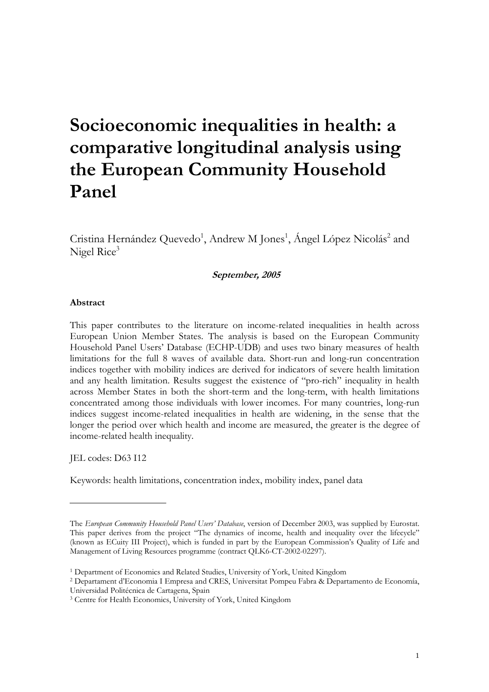# **Socioeconomic inequalities in health: a comparative longitudinal analysis using the European Community Household Panel**

Cristina Hernández Quevedo<sup>1</sup>, Andrew M Jones<sup>1</sup>, Ángel López Nicolás<sup>2</sup> and Nigel Rice<sup>3</sup>

## **September, 2005**

#### **Abstract**

This paper contributes to the literature on income-related inequalities in health across European Union Member States. The analysis is based on the European Community Household Panel Users' Database (ECHP-UDB) and uses two binary measures of health limitations for the full 8 waves of available data. Short-run and long-run concentration indices together with mobility indices are derived for indicators of severe health limitation and any health limitation. Results suggest the existence of "pro-rich" inequality in health across Member States in both the short-term and the long-term, with health limitations concentrated among those individuals with lower incomes. For many countries, long-run indices suggest income-related inequalities in health are widening, in the sense that the longer the period over which health and income are measured, the greater is the degree of income-related health inequality.

JEL codes: D63 I12

Keywords: health limitations, concentration index, mobility index, panel data

The *European Community Household Panel Users' Database*, version of December 2003, was supplied by Eurostat. This paper derives from the project "The dynamics of income, health and inequality over the lifecycle" (known as ECuity III Project), which is funded in part by the European Commission's Quality of Life and Management of Living Resources programme (contract QLK6-CT-2002-02297).

<sup>1</sup> Department of Economics and Related Studies, University of York, United Kingdom 2 Departament d'Economia I Empresa and CRES, Universitat Pompeu Fabra & Departamento de Economía, Universidad Politécnica de Cartagena, Spain 3 Centre for Health Economics, University of York, United Kingdom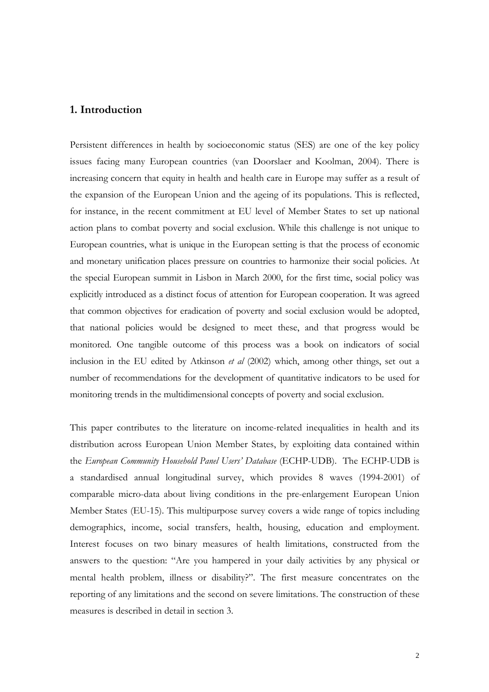# **1. Introduction**

Persistent differences in health by socioeconomic status (SES) are one of the key policy issues facing many European countries (van Doorslaer and Koolman, 2004). There is increasing concern that equity in health and health care in Europe may suffer as a result of the expansion of the European Union and the ageing of its populations. This is reflected, for instance, in the recent commitment at EU level of Member States to set up national action plans to combat poverty and social exclusion. While this challenge is not unique to European countries, what is unique in the European setting is that the process of economic and monetary unification places pressure on countries to harmonize their social policies. At the special European summit in Lisbon in March 2000, for the first time, social policy was explicitly introduced as a distinct focus of attention for European cooperation. It was agreed that common objectives for eradication of poverty and social exclusion would be adopted, that national policies would be designed to meet these, and that progress would be monitored. One tangible outcome of this process was a book on indicators of social inclusion in the EU edited by Atkinson *et al* (2002) which, among other things, set out a number of recommendations for the development of quantitative indicators to be used for monitoring trends in the multidimensional concepts of poverty and social exclusion.

This paper contributes to the literature on income-related inequalities in health and its distribution across European Union Member States, by exploiting data contained within the *European Community Household Panel Users' Database* (ECHP-UDB). The ECHP-UDB is a standardised annual longitudinal survey, which provides 8 waves (1994-2001) of comparable micro-data about living conditions in the pre-enlargement European Union Member States (EU-15). This multipurpose survey covers a wide range of topics including demographics, income, social transfers, health, housing, education and employment. Interest focuses on two binary measures of health limitations, constructed from the answers to the question: "Are you hampered in your daily activities by any physical or mental health problem, illness or disability?". The first measure concentrates on the reporting of any limitations and the second on severe limitations. The construction of these measures is described in detail in section 3.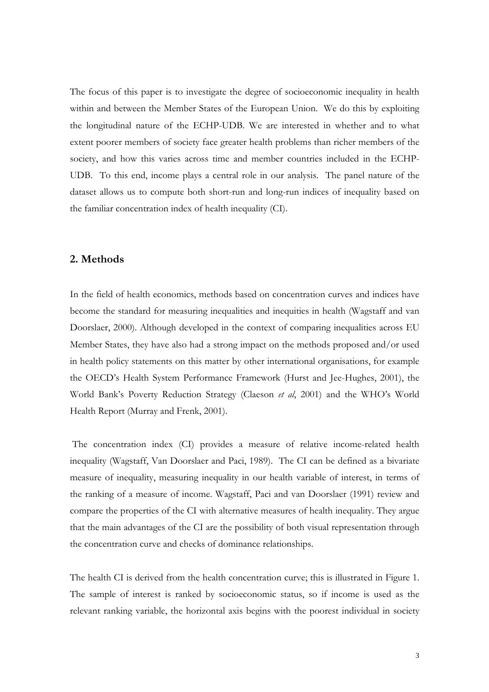The focus of this paper is to investigate the degree of socioeconomic inequality in health within and between the Member States of the European Union. We do this by exploiting the longitudinal nature of the ECHP-UDB. We are interested in whether and to what extent poorer members of society face greater health problems than richer members of the society, and how this varies across time and member countries included in the ECHP-UDB. To this end, income plays a central role in our analysis. The panel nature of the dataset allows us to compute both short-run and long-run indices of inequality based on the familiar concentration index of health inequality (CI).

# **2. Methods**

In the field of health economics, methods based on concentration curves and indices have become the standard for measuring inequalities and inequities in health (Wagstaff and van Doorslaer, 2000). Although developed in the context of comparing inequalities across EU Member States, they have also had a strong impact on the methods proposed and/or used in health policy statements on this matter by other international organisations, for example the OECD's Health System Performance Framework (Hurst and Jee-Hughes, 2001), the World Bank's Poverty Reduction Strategy (Claeson *et al*, 2001) and the WHO's World Health Report (Murray and Frenk, 2001).

The concentration index (CI) provides a measure of relative income-related health inequality (Wagstaff, Van Doorslaer and Paci, 1989). The CI can be defined as a bivariate measure of inequality, measuring inequality in our health variable of interest, in terms of the ranking of a measure of income. Wagstaff, Paci and van Doorslaer (1991) review and compare the properties of the CI with alternative measures of health inequality. They argue that the main advantages of the CI are the possibility of both visual representation through the concentration curve and checks of dominance relationships.

The health CI is derived from the health concentration curve; this is illustrated in Figure 1. The sample of interest is ranked by socioeconomic status, so if income is used as the relevant ranking variable, the horizontal axis begins with the poorest individual in society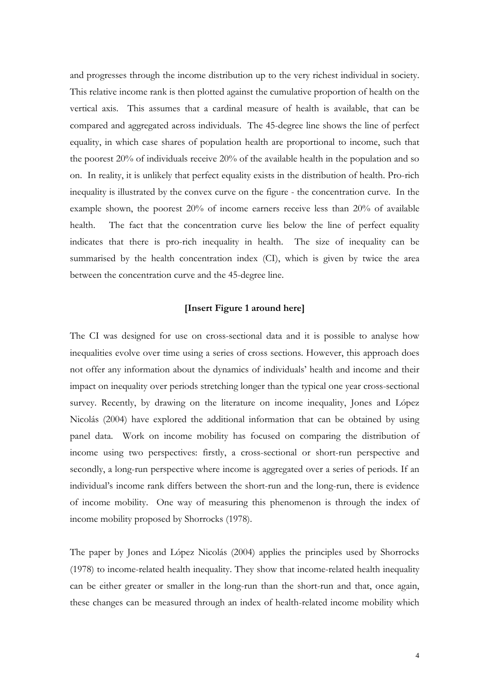and progresses through the income distribution up to the very richest individual in society. This relative income rank is then plotted against the cumulative proportion of health on the vertical axis. This assumes that a cardinal measure of health is available, that can be compared and aggregated across individuals. The 45-degree line shows the line of perfect equality, in which case shares of population health are proportional to income, such that the poorest 20% of individuals receive 20% of the available health in the population and so on. In reality, it is unlikely that perfect equality exists in the distribution of health. Pro-rich inequality is illustrated by the convex curve on the figure - the concentration curve. In the example shown, the poorest 20% of income earners receive less than 20% of available health. The fact that the concentration curve lies below the line of perfect equality indicates that there is pro-rich inequality in health. The size of inequality can be summarised by the health concentration index (CI), which is given by twice the area between the concentration curve and the 45-degree line.

#### **[Insert Figure 1 around here]**

The CI was designed for use on cross-sectional data and it is possible to analyse how inequalities evolve over time using a series of cross sections. However, this approach does not offer any information about the dynamics of individuals' health and income and their impact on inequality over periods stretching longer than the typical one year cross-sectional survey. Recently, by drawing on the literature on income inequality, Jones and López Nicolás (2004) have explored the additional information that can be obtained by using panel data. Work on income mobility has focused on comparing the distribution of income using two perspectives: firstly, a cross-sectional or short-run perspective and secondly, a long-run perspective where income is aggregated over a series of periods. If an individual's income rank differs between the short-run and the long-run, there is evidence of income mobility. One way of measuring this phenomenon is through the index of income mobility proposed by Shorrocks (1978).

The paper by Jones and López Nicolás (2004) applies the principles used by Shorrocks (1978) to income-related health inequality. They show that income-related health inequality can be either greater or smaller in the long-run than the short-run and that, once again, these changes can be measured through an index of health-related income mobility which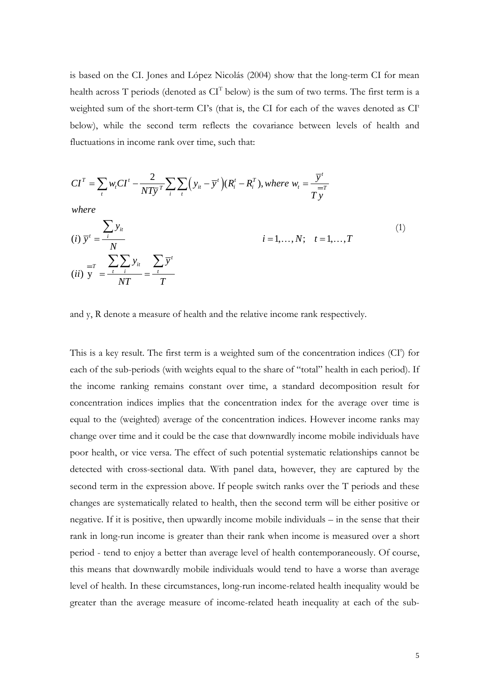is based on the CI. Jones and López Nicolás (2004) show that the long-term CI for mean health across T periods (denoted as  $CI<sup>T</sup>$  below) is the sum of two terms. The first term is a weighted sum of the short-term CI's (that is, the CI for each of the waves denoted as CI<sup>t</sup> below), while the second term reflects the covariance between levels of health and fluctuations in income rank over time, such that:

$$
CIT = \sum_{t} w_{t} CI^{t} - \frac{2}{NT\overline{y}} \sum_{i} \sum_{t} (y_{it} - \overline{y}^{t})(R_{i}^{t} - R_{i}^{T}), where w_{t} = \frac{\overline{y}^{t}}{T\overline{y}}
$$
  
\nwhere  
\n(i)  $\overline{y}^{t} = \frac{\sum_{i} y_{it}}{N}$   
\n(ii)  $y = \frac{\sum_{i} \sum_{i} y_{it}}{\sum_{i} y_{it}} = \frac{\sum_{t} \overline{y}^{t}}{T}$  (1)

and y, R denote a measure of health and the relative income rank respectively.

*NT T*

This is a key result. The first term is a weighted sum of the concentration indices (CI<sup>t</sup>) for each of the sub-periods (with weights equal to the share of "total" health in each period). If the income ranking remains constant over time, a standard decomposition result for concentration indices implies that the concentration index for the average over time is equal to the (weighted) average of the concentration indices. However income ranks may change over time and it could be the case that downwardly income mobile individuals have poor health, or vice versa. The effect of such potential systematic relationships cannot be detected with cross-sectional data. With panel data, however, they are captured by the second term in the expression above. If people switch ranks over the T periods and these changes are systematically related to health, then the second term will be either positive or negative. If it is positive, then upwardly income mobile individuals – in the sense that their rank in long-run income is greater than their rank when income is measured over a short period - tend to enjoy a better than average level of health contemporaneously. Of course, this means that downwardly mobile individuals would tend to have a worse than average level of health. In these circumstances, long-run income-related health inequality would be greater than the average measure of income-related heath inequality at each of the sub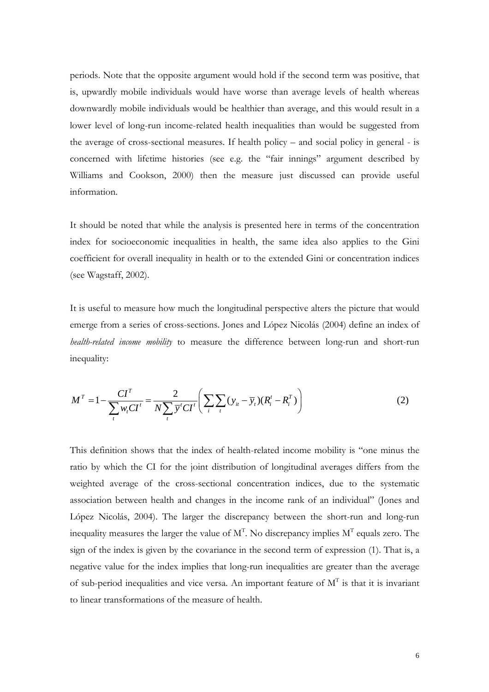periods. Note that the opposite argument would hold if the second term was positive, that is, upwardly mobile individuals would have worse than average levels of health whereas downwardly mobile individuals would be healthier than average, and this would result in a lower level of long-run income-related health inequalities than would be suggested from the average of cross-sectional measures. If health policy – and social policy in general - is concerned with lifetime histories (see e.g. the "fair innings" argument described by Williams and Cookson, 2000) then the measure just discussed can provide useful information.

It should be noted that while the analysis is presented here in terms of the concentration index for socioeconomic inequalities in health, the same idea also applies to the Gini coefficient for overall inequality in health or to the extended Gini or concentration indices (see Wagstaff, 2002).

It is useful to measure how much the longitudinal perspective alters the picture that would emerge from a series of cross-sections. Jones and López Nicolás (2004) define an index of *health-related income mobility* to measure the difference between long-run and short-run inequality:

$$
M^{T} = 1 - \frac{CI^{T}}{\sum_{t} w_{t} CI^{t}} = \frac{2}{N \sum_{t} \bar{y}^{t} CI^{t}} \left( \sum_{i} \sum_{t} (y_{it} - \bar{y}_{t}) (R_{i}^{t} - R_{i}^{T}) \right)
$$
(2)

This definition shows that the index of health-related income mobility is "one minus the ratio by which the CI for the joint distribution of longitudinal averages differs from the weighted average of the cross-sectional concentration indices, due to the systematic association between health and changes in the income rank of an individual" (Jones and López Nicolás, 2004). The larger the discrepancy between the short-run and long-run inequality measures the larger the value of  $M<sup>T</sup>$ . No discrepancy implies  $M<sup>T</sup>$  equals zero. The sign of the index is given by the covariance in the second term of expression (1). That is, a negative value for the index implies that long-run inequalities are greater than the average of sub-period inequalities and vice versa. An important feature of  $M<sup>T</sup>$  is that it is invariant to linear transformations of the measure of health.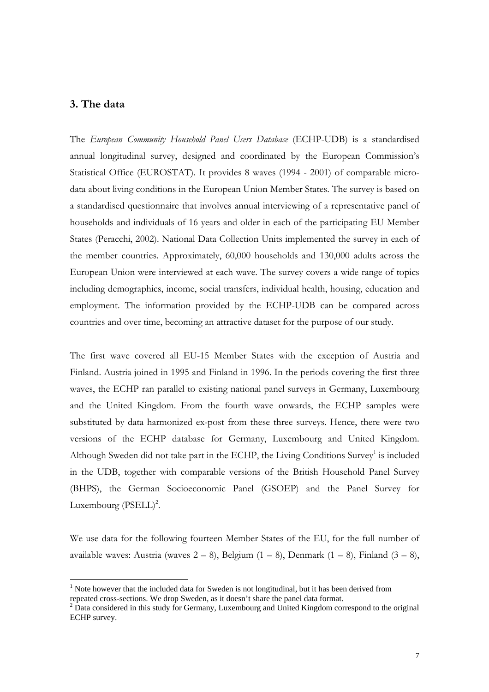# **3. The data**

 $\overline{a}$ 

The *European Community Household Panel Users Database* (ECHP-UDB) is a standardised annual longitudinal survey, designed and coordinated by the European Commission's Statistical Office (EUROSTAT). It provides 8 waves (1994 - 2001) of comparable microdata about living conditions in the European Union Member States. The survey is based on a standardised questionnaire that involves annual interviewing of a representative panel of households and individuals of 16 years and older in each of the participating EU Member States (Peracchi, 2002). National Data Collection Units implemented the survey in each of the member countries. Approximately, 60,000 households and 130,000 adults across the European Union were interviewed at each wave. The survey covers a wide range of topics including demographics, income, social transfers, individual health, housing, education and employment. The information provided by the ECHP-UDB can be compared across countries and over time, becoming an attractive dataset for the purpose of our study.

The first wave covered all EU-15 Member States with the exception of Austria and Finland. Austria joined in 1995 and Finland in 1996. In the periods covering the first three waves, the ECHP ran parallel to existing national panel surveys in Germany, Luxembourg and the United Kingdom. From the fourth wave onwards, the ECHP samples were substituted by data harmonized ex-post from these three surveys. Hence, there were two versions of the ECHP database for Germany, Luxembourg and United Kingdom. Although Sweden did not take part in the ECHP, the Living Conditions Survey<sup>1</sup> is included in the UDB, together with comparable versions of the British Household Panel Survey (BHPS), the German Socioeconomic Panel (GSOEP) and the Panel Survey for Luxembourg  $(PSELL)^2$ .

We use data for the following fourteen Member States of the EU, for the full number of available waves: Austria (waves  $2 - 8$ ), Belgium  $(1 - 8)$ , Denmark  $(1 - 8)$ , Finland  $(3 - 8)$ ,

<span id="page-6-0"></span> $<sup>1</sup>$  Note however that the included data for Sweden is not longitudinal, but it has been derived from</sup> repeated cross-sections. We drop Sweden, as it doesn't share the panel data format. 2

<span id="page-6-1"></span> $2\text{ Data considered in this study for Germany, Luxembourg and United Kingdom correspond to the original$ ECHP survey.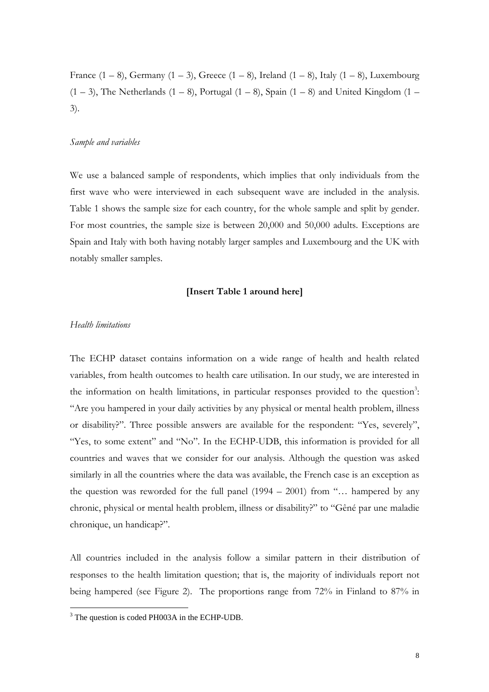France  $(1 - 8)$ , Germany  $(1 - 3)$ , Greece  $(1 - 8)$ , Ireland  $(1 - 8)$ , Italy  $(1 - 8)$ , Luxembourg  $(1 – 3)$ , The Netherlands  $(1 – 8)$ , Portugal  $(1 – 8)$ , Spain  $(1 – 8)$  and United Kingdom  $(1 – 8)$ 3).

#### *Sample and variables*

We use a balanced sample of respondents, which implies that only individuals from the first wave who were interviewed in each subsequent wave are included in the analysis. Table 1 shows the sample size for each country, for the whole sample and split by gender. For most countries, the sample size is between 20,000 and 50,000 adults. Exceptions are Spain and Italy with both having notably larger samples and Luxembourg and the UK with notably smaller samples.

## **[Insert Table 1 around here]**

#### *Health limitations*

 $\overline{a}$ 

The ECHP dataset contains information on a wide range of health and health related variables, from health outcomes to health care utilisation. In our study, we are interested in the information on health limitations, in particular responses provided to the question<sup>3</sup>: "Are you hampered in your daily activities by any physical or mental health problem, illness or disability?". Three possible answers are available for the respondent: "Yes, severely", "Yes, to some extent" and "No". In the ECHP-UDB, this information is provided for all countries and waves that we consider for our analysis. Although the question was asked similarly in all the countries where the data was available, the French case is an exception as the question was reworded for the full panel  $(1994 - 2001)$  from "... hampered by any chronic, physical or mental health problem, illness or disability?" to "Gêné par une maladie chronique, un handicap?".

All countries included in the analysis follow a similar pattern in their distribution of responses to the health limitation question; that is, the majority of individuals report not being hampered (see Figure 2). The proportions range from 72% in Finland to 87% in

<span id="page-7-0"></span><sup>&</sup>lt;sup>3</sup> The question is coded PH003A in the ECHP-UDB.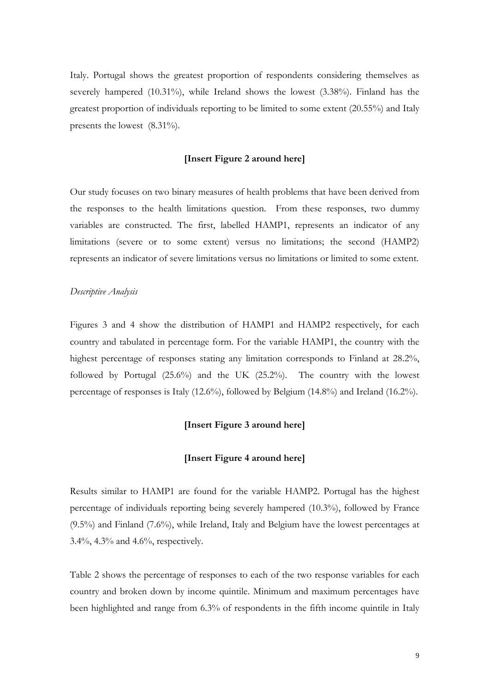Italy. Portugal shows the greatest proportion of respondents considering themselves as severely hampered (10.31%), while Ireland shows the lowest (3.38%). Finland has the greatest proportion of individuals reporting to be limited to some extent (20.55%) and Italy presents the lowest (8.31%).

#### **[Insert Figure 2 around here]**

Our study focuses on two binary measures of health problems that have been derived from the responses to the health limitations question. From these responses, two dummy variables are constructed. The first, labelled HAMP1, represents an indicator of any limitations (severe or to some extent) versus no limitations; the second (HAMP2) represents an indicator of severe limitations versus no limitations or limited to some extent.

#### *Descriptive Analysis*

Figures 3 and 4 show the distribution of HAMP1 and HAMP2 respectively, for each country and tabulated in percentage form. For the variable HAMP1, the country with the highest percentage of responses stating any limitation corresponds to Finland at 28.2%, followed by Portugal (25.6%) and the UK (25.2%). The country with the lowest percentage of responses is Italy (12.6%), followed by Belgium (14.8%) and Ireland (16.2%).

#### **[Insert Figure 3 around here]**

#### **[Insert Figure 4 around here]**

Results similar to HAMP1 are found for the variable HAMP2. Portugal has the highest percentage of individuals reporting being severely hampered (10.3%), followed by France (9.5%) and Finland (7.6%), while Ireland, Italy and Belgium have the lowest percentages at 3.4%, 4.3% and 4.6%, respectively.

Table 2 shows the percentage of responses to each of the two response variables for each country and broken down by income quintile. Minimum and maximum percentages have been highlighted and range from 6.3% of respondents in the fifth income quintile in Italy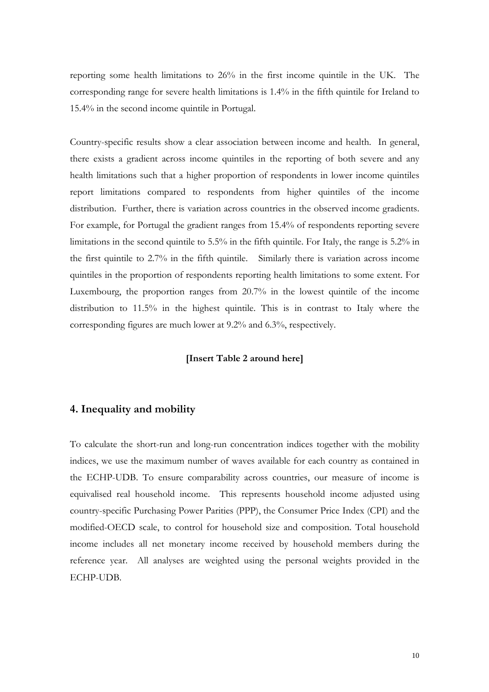reporting some health limitations to 26% in the first income quintile in the UK. The corresponding range for severe health limitations is 1.4% in the fifth quintile for Ireland to 15.4% in the second income quintile in Portugal.

Country-specific results show a clear association between income and health. In general, there exists a gradient across income quintiles in the reporting of both severe and any health limitations such that a higher proportion of respondents in lower income quintiles report limitations compared to respondents from higher quintiles of the income distribution. Further, there is variation across countries in the observed income gradients. For example, for Portugal the gradient ranges from 15.4% of respondents reporting severe limitations in the second quintile to 5.5% in the fifth quintile. For Italy, the range is 5.2% in the first quintile to 2.7% in the fifth quintile. Similarly there is variation across income quintiles in the proportion of respondents reporting health limitations to some extent. For Luxembourg, the proportion ranges from 20.7% in the lowest quintile of the income distribution to 11.5% in the highest quintile. This is in contrast to Italy where the corresponding figures are much lower at 9.2% and 6.3%, respectively.

#### **[Insert Table 2 around here]**

# **4. Inequality and mobility**

To calculate the short-run and long-run concentration indices together with the mobility indices, we use the maximum number of waves available for each country as contained in the ECHP-UDB. To ensure comparability across countries, our measure of income is equivalised real household income. This represents household income adjusted using country-specific Purchasing Power Parities (PPP), the Consumer Price Index (CPI) and the modified-OECD scale, to control for household size and composition. Total household income includes all net monetary income received by household members during the reference year. All analyses are weighted using the personal weights provided in the ECHP-UDB.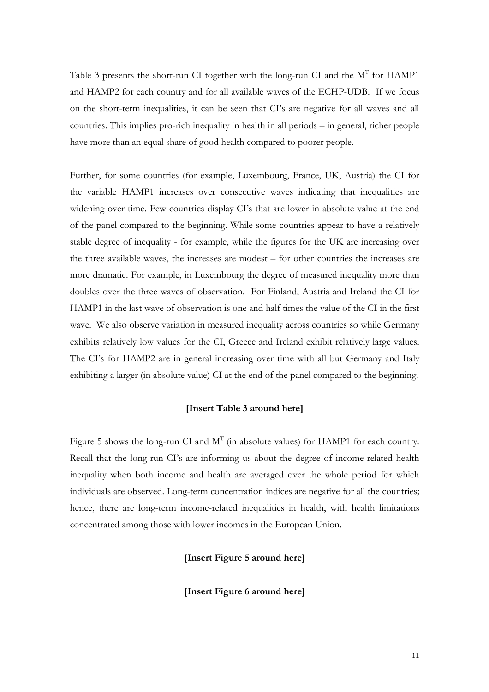Table 3 presents the short-run CI together with the long-run CI and the  $M<sup>T</sup>$  for HAMP1 and HAMP2 for each country and for all available waves of the ECHP-UDB. If we focus on the short-term inequalities, it can be seen that CI's are negative for all waves and all countries. This implies pro-rich inequality in health in all periods – in general, richer people have more than an equal share of good health compared to poorer people.

Further, for some countries (for example, Luxembourg, France, UK, Austria) the CI for the variable HAMP1 increases over consecutive waves indicating that inequalities are widening over time. Few countries display CI's that are lower in absolute value at the end of the panel compared to the beginning. While some countries appear to have a relatively stable degree of inequality - for example, while the figures for the UK are increasing over the three available waves, the increases are modest – for other countries the increases are more dramatic. For example, in Luxembourg the degree of measured inequality more than doubles over the three waves of observation. For Finland, Austria and Ireland the CI for HAMP1 in the last wave of observation is one and half times the value of the CI in the first wave. We also observe variation in measured inequality across countries so while Germany exhibits relatively low values for the CI, Greece and Ireland exhibit relatively large values. The CI's for HAMP2 are in general increasing over time with all but Germany and Italy exhibiting a larger (in absolute value) CI at the end of the panel compared to the beginning.

#### **[Insert Table 3 around here]**

Figure 5 shows the long-run CI and  $M<sup>T</sup>$  (in absolute values) for HAMP1 for each country. Recall that the long-run CI's are informing us about the degree of income-related health inequality when both income and health are averaged over the whole period for which individuals are observed. Long-term concentration indices are negative for all the countries; hence, there are long-term income-related inequalities in health, with health limitations concentrated among those with lower incomes in the European Union.

**[Insert Figure 5 around here]** 

**[Insert Figure 6 around here]**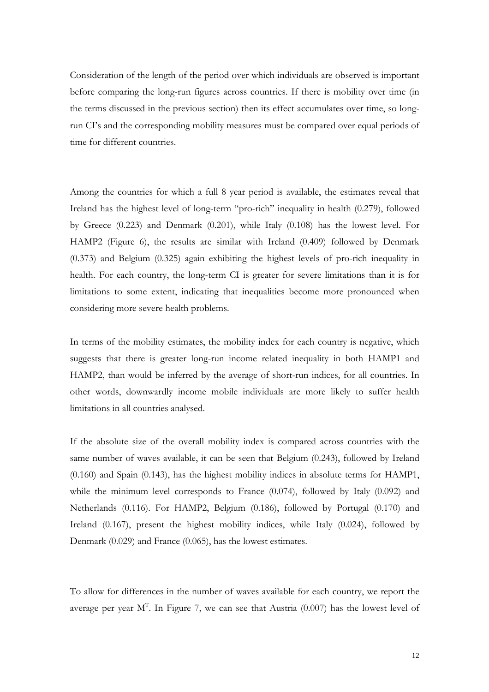Consideration of the length of the period over which individuals are observed is important before comparing the long-run figures across countries. If there is mobility over time (in the terms discussed in the previous section) then its effect accumulates over time, so longrun CI's and the corresponding mobility measures must be compared over equal periods of time for different countries.

Among the countries for which a full 8 year period is available, the estimates reveal that Ireland has the highest level of long-term "pro-rich" inequality in health (0.279), followed by Greece (0.223) and Denmark (0.201), while Italy (0.108) has the lowest level. For HAMP2 (Figure 6), the results are similar with Ireland (0.409) followed by Denmark (0.373) and Belgium (0.325) again exhibiting the highest levels of pro-rich inequality in health. For each country, the long-term CI is greater for severe limitations than it is for limitations to some extent, indicating that inequalities become more pronounced when considering more severe health problems.

In terms of the mobility estimates, the mobility index for each country is negative, which suggests that there is greater long-run income related inequality in both HAMP1 and HAMP2, than would be inferred by the average of short-run indices, for all countries. In other words, downwardly income mobile individuals are more likely to suffer health limitations in all countries analysed.

If the absolute size of the overall mobility index is compared across countries with the same number of waves available, it can be seen that Belgium (0.243), followed by Ireland (0.160) and Spain (0.143), has the highest mobility indices in absolute terms for HAMP1, while the minimum level corresponds to France (0.074), followed by Italy (0.092) and Netherlands (0.116). For HAMP2, Belgium (0.186), followed by Portugal (0.170) and Ireland (0.167), present the highest mobility indices, while Italy (0.024), followed by Denmark (0.029) and France (0.065), has the lowest estimates.

To allow for differences in the number of waves available for each country, we report the average per year  $M<sup>T</sup>$ . In Figure 7, we can see that Austria (0.007) has the lowest level of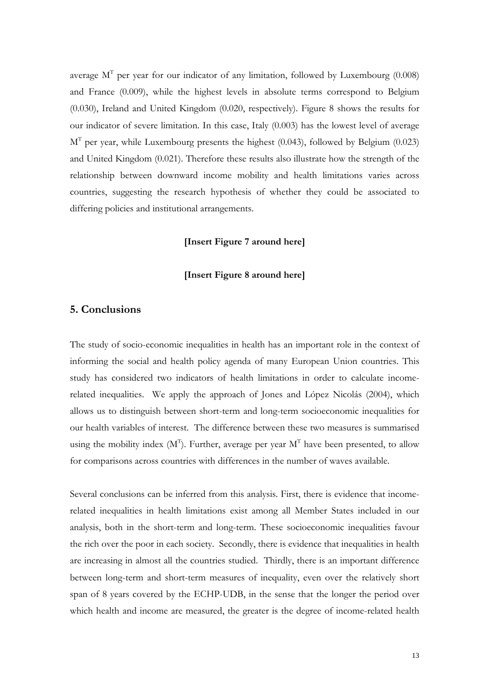average  $M<sup>T</sup>$  per year for our indicator of any limitation, followed by Luxembourg (0.008) and France (0.009), while the highest levels in absolute terms correspond to Belgium (0.030), Ireland and United Kingdom (0.020, respectively). Figure 8 shows the results for our indicator of severe limitation. In this case, Italy (0.003) has the lowest level of average  $M<sup>T</sup>$  per year, while Luxembourg presents the highest (0.043), followed by Belgium (0.023) and United Kingdom (0.021). Therefore these results also illustrate how the strength of the relationship between downward income mobility and health limitations varies across countries, suggesting the research hypothesis of whether they could be associated to differing policies and institutional arrangements.

#### **[Insert Figure 7 around here]**

#### **[Insert Figure 8 around here]**

# **5. Conclusions**

The study of socio-economic inequalities in health has an important role in the context of informing the social and health policy agenda of many European Union countries. This study has considered two indicators of health limitations in order to calculate incomerelated inequalities. We apply the approach of Jones and López Nicolás (2004), which allows us to distinguish between short-term and long-term socioeconomic inequalities for our health variables of interest. The difference between these two measures is summarised using the mobility index  $(M<sup>T</sup>)$ . Further, average per year  $M<sup>T</sup>$  have been presented, to allow for comparisons across countries with differences in the number of waves available.

Several conclusions can be inferred from this analysis. First, there is evidence that incomerelated inequalities in health limitations exist among all Member States included in our analysis, both in the short-term and long-term. These socioeconomic inequalities favour the rich over the poor in each society. Secondly, there is evidence that inequalities in health are increasing in almost all the countries studied. Thirdly, there is an important difference between long-term and short-term measures of inequality, even over the relatively short span of 8 years covered by the ECHP-UDB, in the sense that the longer the period over which health and income are measured, the greater is the degree of income-related health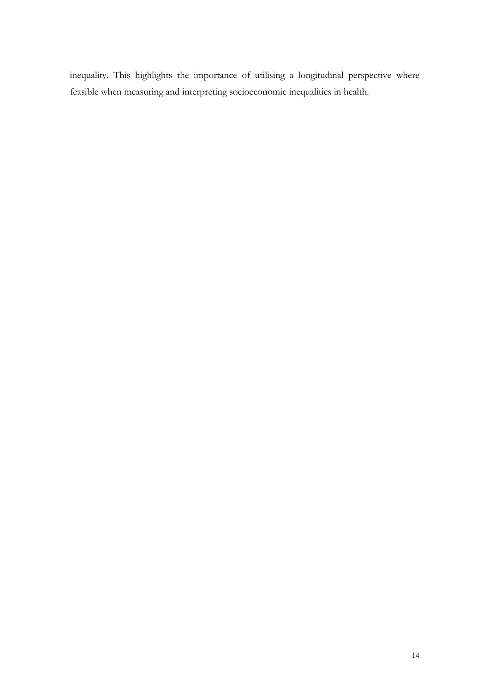inequality. This highlights the importance of utilising a longitudinal perspective where feasible when measuring and interpreting socioeconomic inequalities in health.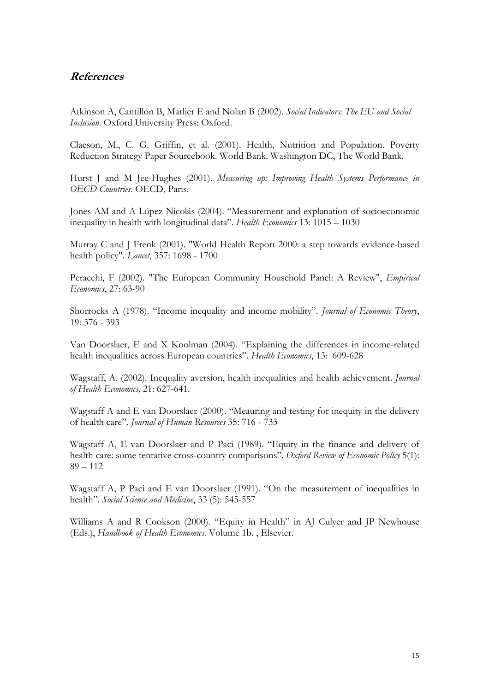# **References**

Atkinson A, Cantillon B, Marlier E and Nolan B (2002). *Social Indicators: The EU and Social Inclusion*. Oxford University Press: Oxford.

Claeson, M., C. G. Griffin, et al. (2001). Health, Nutrition and Population. Poverty Reduction Strategy Paper Sourcebook. World Bank. Washington DC, The World Bank.

Hurst J and M Jee-Hughes (2001). *Measuring up: Improving Health Systems Performance in OECD Countries*. OECD, Paris.

Jones AM and A López Nicolás (2004). "Measurement and explanation of socioeconomic inequality in health with longitudinal data". *Health Economics* 13: 1015 – 1030

Murray C and J Frenk (2001). "World Health Report 2000: a step towards evidence-based health policy". *Lancet*, 357: 1698 - 1700

Peracchi, F (2002). "The European Community Household Panel: A Review", *Empirical Economics*, 27: 63-90

Shorrocks A (1978). "Income inequality and income mobility". *Journal of Economic Theory*, 19: 376 - 393

Van Doorslaer, E and X Koolman (2004). "Explaining the differences in income-related health inequalities across European countries". *Health Economics*, 13: 609-628

Wagstaff, A. (2002). Inequality aversion, health inequalities and health achievement. *Journal of Health Economics,* 21: 627-641.

Wagstaff A and E van Doorslaer (2000). "Meauring and testing for inequity in the delivery of health care". *Journal of Human Resources* 35: 716 - 733

Wagstaff A, E van Doorslaer and P Paci (1989). "Equity in the finance and delivery of health care: some tentative cross-country comparisons". *Oxford Review of Economic Policy* 5(1):  $89 - 112$ 

Wagstaff A, P Paci and E van Doorslaer (1991). "On the measurement of inequalities in health". *Social Science and Medicine*, 33 (5): 545-557

Williams A and R Cookson (2000). "Equity in Health" in AJ Culyer and JP Newhouse (Eds.), *Handbook of Health Economics*. Volume 1b. , Elsevier.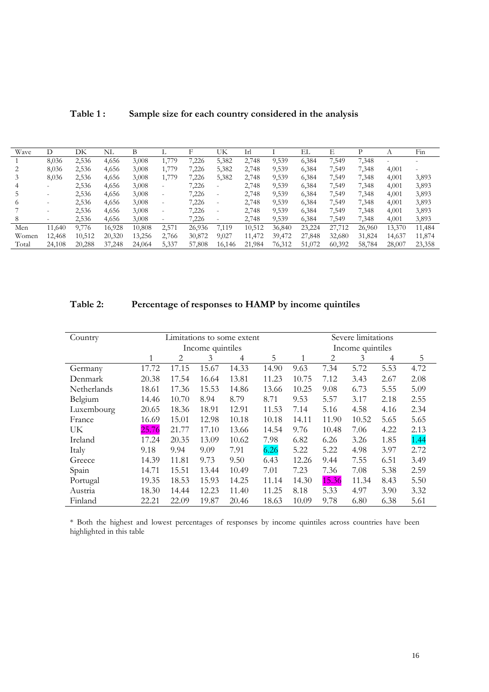| Table 1: |  | Sample size for each country considered in the analysis |  |  |
|----------|--|---------------------------------------------------------|--|--|
|----------|--|---------------------------------------------------------|--|--|

| Wave  |        | DK     | NL     |        |                   |        | UK                       | Irl    |        | EL     |        |        |        | Fin    |
|-------|--------|--------|--------|--------|-------------------|--------|--------------------------|--------|--------|--------|--------|--------|--------|--------|
|       | 8,036  | 2,536  | 4,656  | 3,008  | 1,779             | 226    | 5,382                    | 2,748  | 9,539  | 6,384  | 7,549  | 7,348  |        |        |
|       | 8,036  | 2,536  | 4,656  | 3,008  | 1,779             | 7,226  | 5,382                    | 2,748  | 9,539  | 6,384  | 7,549  | 7,348  | 4,001  |        |
|       | 8,036  | 2,536  | 4,656  | 3,008  | 1,779             | 7,226  | 5,382                    | 2,748  | 9,539  | 6,384  | 7,549  | 7.348  | 4,001  | 3,893  |
|       | -      | 2,536  | 4,656  | 3,008  | $\qquad \qquad -$ | 7,226  | $\overline{\phantom{a}}$ | 2,748  | 9,539  | 6,384  | 7,549  | 7,348  | 4,001  | 3,893  |
|       |        | 2,536  | 4,656  | 3,008  | $\qquad \qquad -$ | 7,226  | $\overline{\phantom{0}}$ | 2,748  | 9,539  | 6,384  | 7,549  | 7,348  | 4,001  | 3,893  |
|       |        | 2,536  | 4,656  | 3,008  | $\qquad \qquad -$ | 7,226  | $\overline{\phantom{0}}$ | 2,748  | 9,539  | 6,384  | 7,549  | 7,348  | 4,001  | 3,893  |
|       |        | 2,536  | 4,656  | 3,008  | $\qquad \qquad -$ | 7,226  | $\overline{\phantom{a}}$ | 2,748  | 9,539  | 6,384  | 7,549  | 7,348  | 4,001  | 3,893  |
| 8     |        | 2,536  | 4,656  | 3,008  |                   | 7,226  | $\overline{\phantom{0}}$ | 2,748  | 9,539  | 6,384  | 7,549  | 7,348  | 4,001  | 3,893  |
| Men   | 11.640 | 9,776  | 16,928 | 10,808 | 2,571             | 26,936 | 7,119                    | 10,512 | 36,840 | 23,224 | 27,712 | 26,960 | 13,370 | 11,484 |
| Women | 12,468 | 10,512 | 20,320 | 13,256 | 2,766             | 30,872 | 9,027                    | 11,472 | 39,472 | 27,848 | 32,680 | 31,824 | 14,637 | 11,874 |
| Total | 24,108 | 20,288 | 37,248 | 24,064 | 5,337             | 57,808 | 16,146                   | 21,984 | 76,312 | 51,072 | 60,392 | 58,784 | 28,007 | 23,358 |

# **Table 2: Percentage of responses to HAMP by income quintiles**

| Country     |                  |       |                  | Limitations to some extent | Severe limitations |       |       |       |      |      |  |
|-------------|------------------|-------|------------------|----------------------------|--------------------|-------|-------|-------|------|------|--|
|             |                  |       | Income quintiles |                            | Income quintiles   |       |       |       |      |      |  |
|             | 5<br>2<br>3<br>4 |       |                  |                            |                    |       | 2     | 3     | 4    | 5    |  |
| Germany     | 17.72            | 17.15 | 15.67            | 14.33                      | 14.90              | 9.63  | 7.34  | 5.72  | 5.53 | 4.72 |  |
| Denmark     | 20.38            | 17.54 | 16.64            | 13.81                      | 11.23              | 10.75 | 7.12  | 3.43  | 2.67 | 2.08 |  |
| Netherlands | 18.61            | 17.36 | 15.53            | 14.86                      | 13.66              | 10.25 | 9.08  | 6.73  | 5.55 | 5.09 |  |
| Belgium     | 14.46            | 10.70 | 8.94             | 8.79                       | 8.71               | 9.53  | 5.57  | 3.17  | 2.18 | 2.55 |  |
| Luxembourg  | 20.65            | 18.36 | 18.91            | 12.91                      | 11.53              | 7.14  | 5.16  | 4.58  | 4.16 | 2.34 |  |
| France      | 16.69            | 15.01 | 12.98            | 10.18                      | 10.18              | 14.11 | 11.90 | 10.52 | 5.65 | 5.65 |  |
| UK          | 25.76            | 21.77 | 17.10            | 13.66                      | 14.54              | 9.76  | 10.48 | 7.06  | 4.22 | 2.13 |  |
| Ireland     | 17.24            | 20.35 | 13.09            | 10.62                      | 7.98               | 6.82  | 6.26  | 3.26  | 1.85 | 1.44 |  |
| Italy       | 9.18             | 9.94  | 9.09             | 7.91                       | 6.26               | 5.22  | 5.22  | 4.98  | 3.97 | 2.72 |  |
| Greece      | 14.39            | 11.81 | 9.73             | 9.50                       | 6.43               | 12.26 | 9.44  | 7.55  | 6.51 | 3.49 |  |
| Spain       | 14.71            | 15.51 | 13.44            | 10.49                      | 7.01               | 7.23  | 7.36  | 7.08  | 5.38 | 2.59 |  |
| Portugal    | 19.35            | 18.53 | 15.93            | 14.25                      | 11.14              | 14.30 | 15.36 | 11.34 | 8.43 | 5.50 |  |
| Austria     | 18.30            | 14.44 | 12.23            | 11.40                      | 11.25              | 8.18  | 5.33  | 4.97  | 3.90 | 3.32 |  |
| Finland     | 22.21            | 22.09 | 19.87            | 20.46                      | 18.63              | 10.09 | 9.78  | 6.80  | 6.38 | 5.61 |  |

\* Both the highest and lowest percentages of responses by income quintiles across countries have been highlighted in this table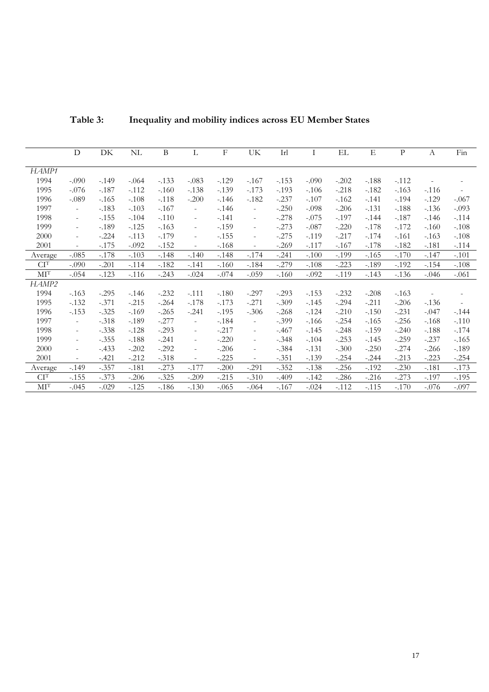| Table 3: | Inequality and mobility indices across EU Member States |
|----------|---------------------------------------------------------|
|----------|---------------------------------------------------------|

|                                     | D                        | DK      | NL      | B       | L                        | $_{\rm F}$ | UK                       | Irl     | Ι       | EL.     | Ε       | $\mathbf P$ | $\boldsymbol{A}$ | Fin                      |
|-------------------------------------|--------------------------|---------|---------|---------|--------------------------|------------|--------------------------|---------|---------|---------|---------|-------------|------------------|--------------------------|
| HAMP1                               |                          |         |         |         |                          |            |                          |         |         |         |         |             |                  |                          |
| 1994                                | $-.090$                  | $-.149$ | $-.064$ | $-.133$ | $-.083$                  | $-.129$    | $-.167$                  | $-.153$ | $-.090$ | $-.202$ | $-.188$ | $-0.112$    |                  |                          |
| 1995                                | $-.076$                  | $-.187$ | $-112$  | $-.160$ | $-.138$                  | $-.139$    | $-.173$                  | $-.193$ | $-.106$ | $-.218$ | $-.182$ | $-163$      | $-116$           |                          |
| 1996                                | $-.089$                  | $-.165$ | $-.108$ | $-.118$ | $-.200$                  | $-146$     | $-182$                   | $-.237$ | $-.107$ | $-162$  | $-.141$ | $-.194$     | $-.129$          | $-.067$                  |
| 1997                                | $\overline{\phantom{a}}$ | $-.183$ | $-.103$ | $-.167$ | $\overline{\phantom{a}}$ | $-.146$    | $\overline{\phantom{a}}$ | $-.250$ | $-.098$ | $-.206$ | $-.131$ | $-.188$     | $-.136$          | $-.093$                  |
| 1998                                | $\sim$                   | $-.155$ | $-.104$ | $-.110$ | $\overline{\phantom{a}}$ | $-.141$    | $\overline{\phantom{a}}$ | $-.278$ | $-.075$ | $-.197$ | $-.144$ | $-.187$     | $-146$           | $-.114$                  |
| 1999                                | $\overline{\phantom{a}}$ | $-.189$ | $-.125$ | $-163$  | $\overline{\phantom{a}}$ | $-.159$    | $\overline{\phantom{a}}$ | $-.273$ | $-.087$ | $-.220$ | $-.178$ | $-172$      | $-160$           | $-.108$                  |
| 2000                                | $\overline{\phantom{a}}$ | $-.224$ | $-.113$ | $-.179$ | $\overline{\phantom{a}}$ | $-.155$    | $\overline{\phantom{a}}$ | $-.275$ | $-.119$ | $-.217$ | $-174$  | $-.161$     | $-163$           | $-.108$                  |
| 2001                                | $\overline{\phantom{a}}$ | $-.175$ | $-.092$ | $-.152$ | $\overline{\phantom{a}}$ | $-.168$    | $\overline{\phantom{a}}$ | $-.269$ | $-.117$ | $-.167$ | $-.178$ | $-.182$     | $-.181$          | $-.114$                  |
| Average                             | $-.085$                  | $-.178$ | $-.103$ | $-.148$ | $-.140$                  | $-.148$    | $-.174$                  | $-.241$ | $-.100$ | $-.199$ | $-165$  | $-.170$     | $-.147$          | $-.101$                  |
| CI <sup>T</sup>                     | $-.090$                  | $-.201$ | $-.114$ | $-182$  | $-.141$                  | $-.160$    | $-184$                   | $-.279$ | $-.108$ | $-.223$ | $-189$  | $-.192$     | $-.154$          | $-.108$                  |
| $\mathbf{M}\mathbf{I}^{\mathsf{T}}$ | $-.054$                  | $-.123$ | $-116$  | $-.243$ | $-.024$                  | $-.074$    | $-.059$                  | $-.160$ | $-.092$ | $-119$  | $-143$  | $-136$      | $-.046$          | $-.061$                  |
| HAMP2                               |                          |         |         |         |                          |            |                          |         |         |         |         |             |                  |                          |
| 1994                                | $-163$                   | $-.295$ | $-146$  | $-.232$ | $-.111$                  | $-.180$    | $-.297$                  | $-.293$ | $-.153$ | $-.232$ | $-.208$ | $-163$      | ÷,               | $\overline{\phantom{a}}$ |
| 1995                                | $-132$                   | $-.371$ | $-.215$ | $-.264$ | $-.178$                  | $-.173$    | $-.271$                  | $-.309$ | $-.145$ | $-.294$ | $-.211$ | $-.206$     | $-.136$          | $\overline{\phantom{a}}$ |
| 1996                                | $-153$                   | $-.325$ | $-.169$ | $-.265$ | $-.241$                  | $-.195$    | $-.306$                  | $-.268$ | $-124$  | $-.210$ | $-.150$ | $-.231$     | $-.047$          | $-144$                   |
| 1997                                | $\overline{\phantom{a}}$ | $-.318$ | $-.189$ | $-.277$ | $\overline{\phantom{a}}$ | $-.184$    | $\overline{\phantom{a}}$ | $-.399$ | $-166$  | $-.254$ | $-.165$ | $-.256$     | $-.168$          | $-.110$                  |
| 1998                                | $\overline{\phantom{a}}$ | $-.338$ | $-.128$ | $-.293$ | $\overline{\phantom{a}}$ | $-.217$    | $\overline{\phantom{a}}$ | $-.467$ | $-.145$ | $-.248$ | $-.159$ | $-.240$     | $-.188$          | $-.174$                  |
| 1999                                | $\overline{\phantom{a}}$ | $-.355$ | $-.188$ | $-.241$ | $\overline{\phantom{a}}$ | $-.220$    | $\overline{\phantom{a}}$ | $-.348$ | $-.104$ | $-.253$ | $-.145$ | $-.259$     | $-.237$          | $-165$                   |
| 2000                                | $\overline{\phantom{a}}$ | $-.433$ | $-.202$ | $-.292$ | $\overline{\phantom{a}}$ | $-.206$    | $\overline{\phantom{a}}$ | $-.384$ | $-.131$ | $-.300$ | $-.250$ | $-.274$     | $-.266$          | $-189$                   |
| 2001                                | $\overline{\phantom{a}}$ | $-.421$ | $-.212$ | $-.318$ | $\overline{\phantom{a}}$ | $-.225$    | $\omega$                 | $-.351$ | $-.139$ | $-.254$ | $-.244$ | $-.213$     | $-.223$          | $-.254$                  |
| Average                             | $-.149$                  | $-.357$ | $-.181$ | $-.273$ | $-.177$                  | $-.200$    | $-.291$                  | $-.352$ | $-.138$ | $-.256$ | $-.192$ | $-.230$     | $-.181$          | $-.173$                  |
| $\mathbf{C}\mathbf{I}^{\text{T}}$   | $-155$                   | $-.373$ | $-.206$ | $-.325$ | $-.209$                  | $-.215$    | $-.310$                  | $-.409$ | $-.142$ | $-.286$ | $-.216$ | $-.273$     | $-.197$          | $-.195$                  |
| $\mathbf{M}\mathbf{I}^{\mathsf{T}}$ | $-.045$                  | $-.029$ | $-125$  | $-186$  | $-.130$                  | $-.065$    | $-.064$                  | $-167$  | $-.024$ | $-112$  | $-.115$ | $-170$      | $-.076$          | $-.097$                  |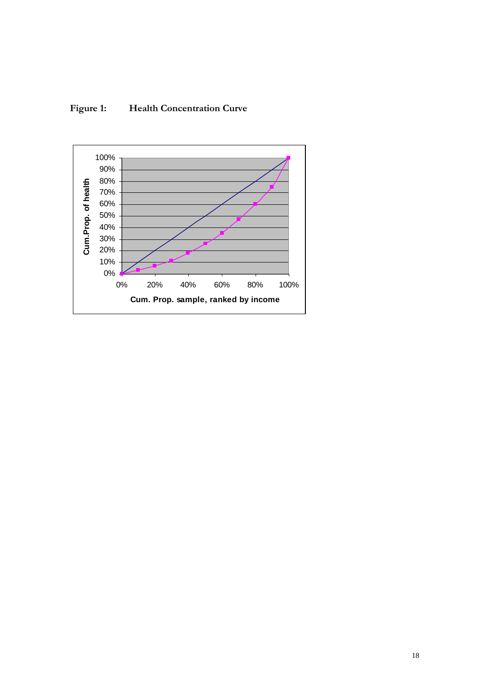

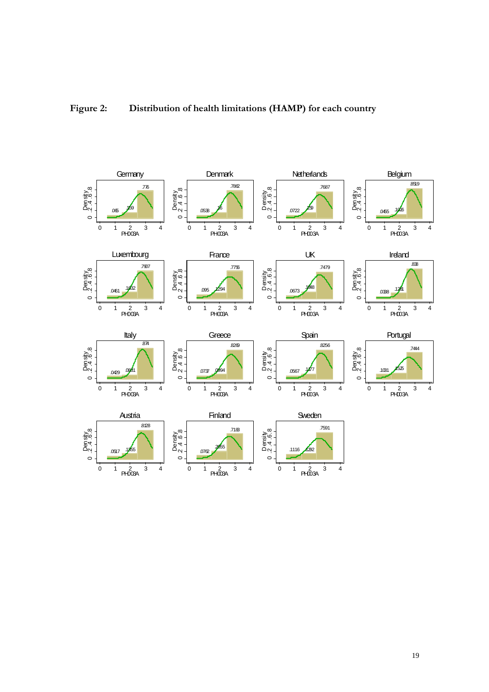

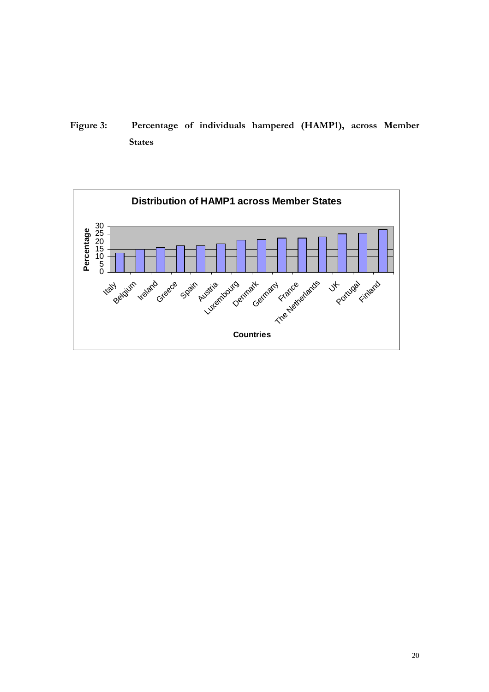**Figure 3: Percentage of individuals hampered (HAMP1), across Member States** 

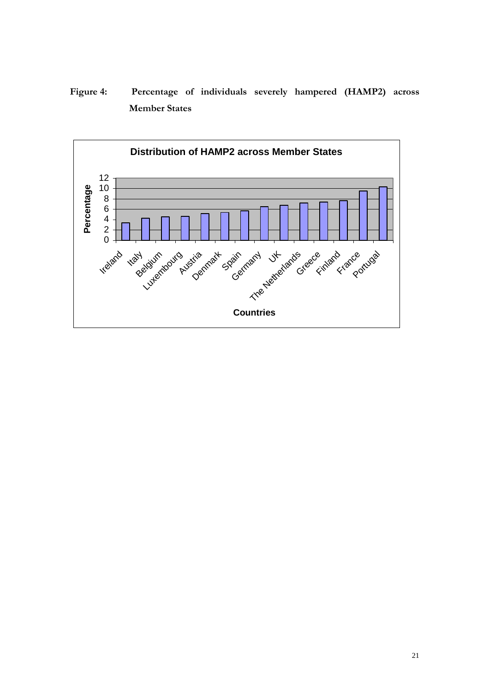**Figure 4: Percentage of individuals severely hampered (HAMP2) across Member States** 

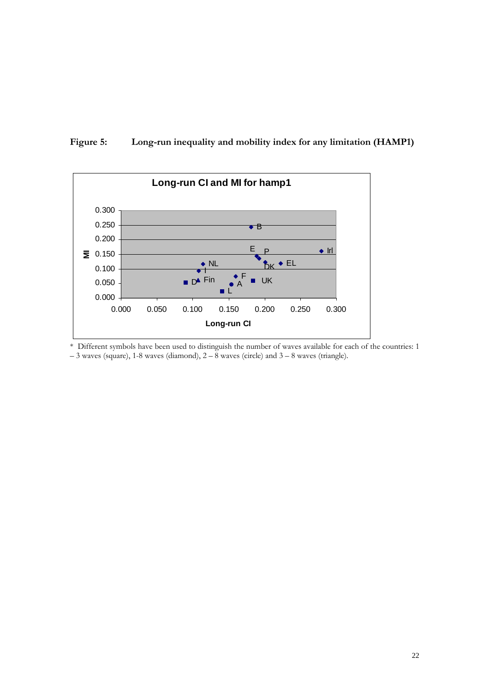



\* Different symbols have been used to distinguish the number of waves available for each of the countries: 1 – 3 waves (square), 1-8 waves (diamond), 2 – 8 waves (circle) and 3 – 8 waves (triangle).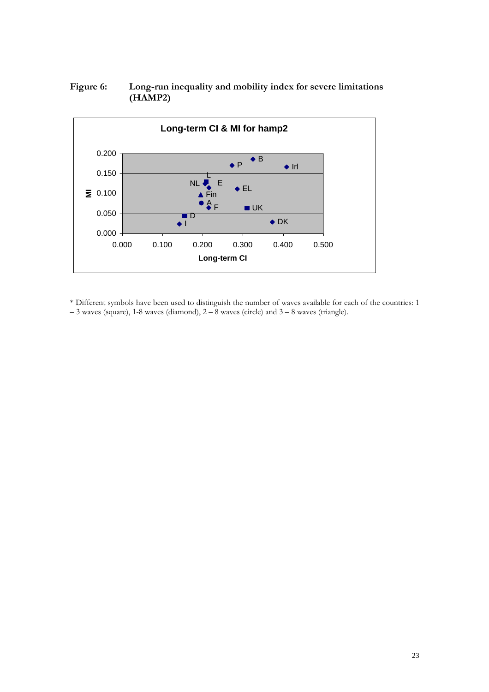# **Figure 6: Long-run inequality and mobility index for severe limitations (HAMP2)**



\* Different symbols have been used to distinguish the number of waves available for each of the countries: 1  $-$  3 waves (square), 1-8 waves (diamond), 2 – 8 waves (circle) and 3 – 8 waves (triangle).